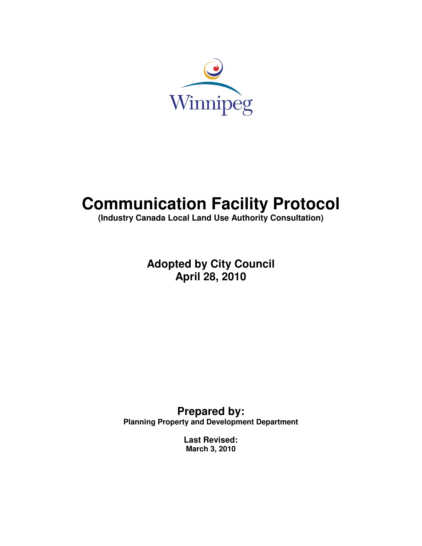

# **Communication Facility Protocol**

**(Industry Canada Local Land Use Authority Consultation)** 

**Adopted by City Council April 28, 2010** 

**Prepared by: Planning Property and Development Department** 

> **Last Revised: March 3, 2010**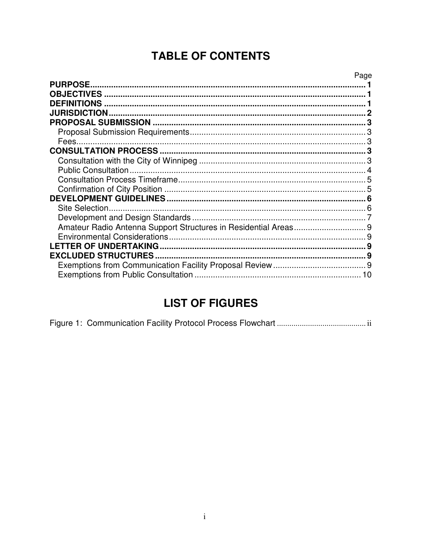# **TABLE OF CONTENTS**

| <b>PURPOSE</b>             | Page |
|----------------------------|------|
|                            |      |
| <b>DEFINITIONS</b>         |      |
| <b>JURISDICTION</b>        |      |
|                            |      |
|                            |      |
|                            |      |
|                            |      |
|                            |      |
|                            |      |
|                            |      |
|                            |      |
|                            |      |
| Site Selection.            |      |
|                            |      |
|                            |      |
|                            |      |
| <b>EXCLUDED STRUCTURES</b> |      |
|                            |      |
|                            | 10   |

# **LIST OF FIGURES**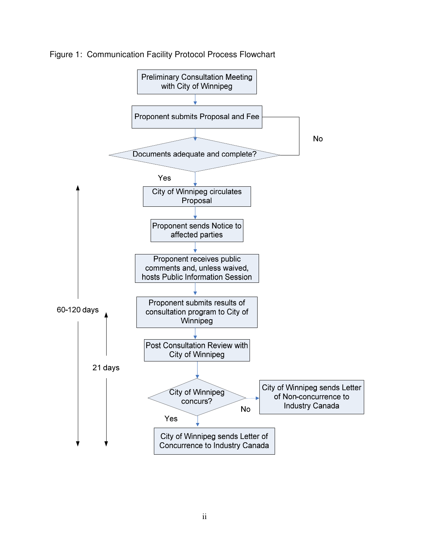

Figure 1: Communication Facility Protocol Process Flowchart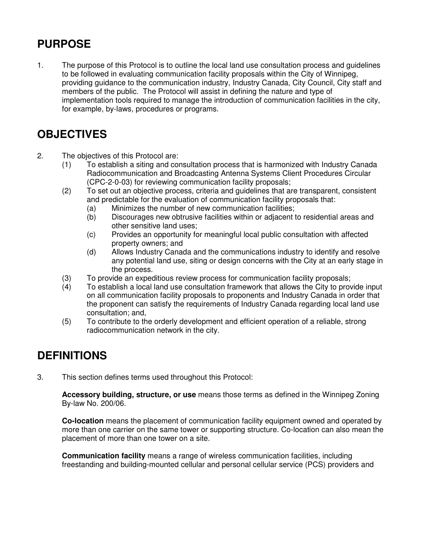# **PURPOSE**

1. The purpose of this Protocol is to outline the local land use consultation process and guidelines to be followed in evaluating communication facility proposals within the City of Winnipeg, providing guidance to the communication industry, Industry Canada, City Council, City staff and members of the public. The Protocol will assist in defining the nature and type of implementation tools required to manage the introduction of communication facilities in the city, for example, by-laws, procedures or programs.

# **OBJECTIVES**

- 2. The objectives of this Protocol are:
	- (1) To establish a siting and consultation process that is harmonized with Industry Canada Radiocommunication and Broadcasting Antenna Systems Client Procedures Circular (CPC-2-0-03) for reviewing communication facility proposals;
	- (2) To set out an objective process, criteria and guidelines that are transparent, consistent and predictable for the evaluation of communication facility proposals that:
		- (a) Minimizes the number of new communication facilities;
		- (b) Discourages new obtrusive facilities within or adjacent to residential areas and other sensitive land uses;
		- (c) Provides an opportunity for meaningful local public consultation with affected property owners; and
		- (d) Allows Industry Canada and the communications industry to identify and resolve any potential land use, siting or design concerns with the City at an early stage in the process.
	- (3) To provide an expeditious review process for communication facility proposals;
	- (4) To establish a local land use consultation framework that allows the City to provide input on all communication facility proposals to proponents and Industry Canada in order that the proponent can satisfy the requirements of Industry Canada regarding local land use consultation; and,
	- (5) To contribute to the orderly development and efficient operation of a reliable, strong radiocommunication network in the city.

# **DEFINITIONS**

3. This section defines terms used throughout this Protocol:

**Accessory building, structure, or use** means those terms as defined in the Winnipeg Zoning By-law No. 200/06.

**Co-location** means the placement of communication facility equipment owned and operated by more than one carrier on the same tower or supporting structure. Co-location can also mean the placement of more than one tower on a site.

**Communication facility** means a range of wireless communication facilities, including freestanding and building-mounted cellular and personal cellular service (PCS) providers and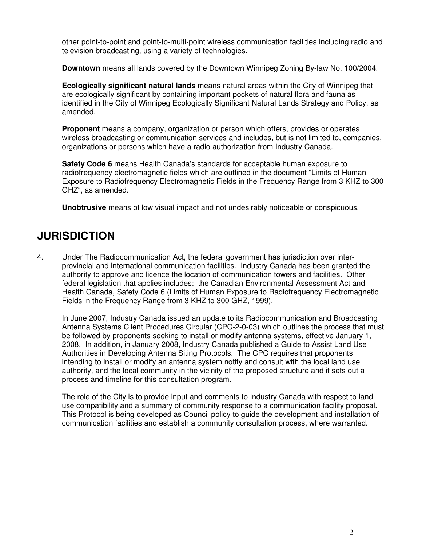other point-to-point and point-to-multi-point wireless communication facilities including radio and television broadcasting, using a variety of technologies.

**Downtown** means all lands covered by the Downtown Winnipeg Zoning By-law No. 100/2004.

**Ecologically significant natural lands** means natural areas within the City of Winnipeg that are ecologically significant by containing important pockets of natural flora and fauna as identified in the City of Winnipeg Ecologically Significant Natural Lands Strategy and Policy, as amended.

**Proponent** means a company, organization or person which offers, provides or operates wireless broadcasting or communication services and includes, but is not limited to, companies, organizations or persons which have a radio authorization from Industry Canada.

**Safety Code 6** means Health Canada's standards for acceptable human exposure to radiofrequency electromagnetic fields which are outlined in the document "Limits of Human Exposure to Radiofrequency Electromagnetic Fields in the Frequency Range from 3 KHZ to 300 GHZ", as amended.

**Unobtrusive** means of low visual impact and not undesirably noticeable or conspicuous.

# **JURISDICTION**

4. Under The Radiocommunication Act, the federal government has jurisdiction over interprovincial and international communication facilities. Industry Canada has been granted the authority to approve and licence the location of communication towers and facilities. Other federal legislation that applies includes: the Canadian Environmental Assessment Act and Health Canada, Safety Code 6 (Limits of Human Exposure to Radiofrequency Electromagnetic Fields in the Frequency Range from 3 KHZ to 300 GHZ, 1999).

 In June 2007, Industry Canada issued an update to its Radiocommunication and Broadcasting Antenna Systems Client Procedures Circular (CPC-2-0-03) which outlines the process that must be followed by proponents seeking to install or modify antenna systems, effective January 1, 2008. In addition, in January 2008, Industry Canada published a Guide to Assist Land Use Authorities in Developing Antenna Siting Protocols. The CPC requires that proponents intending to install or modify an antenna system notify and consult with the local land use authority, and the local community in the vicinity of the proposed structure and it sets out a process and timeline for this consultation program.

 The role of the City is to provide input and comments to Industry Canada with respect to land use compatibility and a summary of community response to a communication facility proposal. This Protocol is being developed as Council policy to guide the development and installation of communication facilities and establish a community consultation process, where warranted.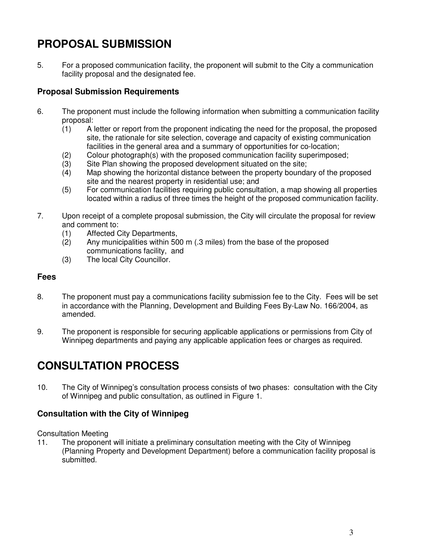# **PROPOSAL SUBMISSION**

5. For a proposed communication facility, the proponent will submit to the City a communication facility proposal and the designated fee.

## **Proposal Submission Requirements**

- 6. The proponent must include the following information when submitting a communication facility proposal:
	- (1) A letter or report from the proponent indicating the need for the proposal, the proposed site, the rationale for site selection, coverage and capacity of existing communication facilities in the general area and a summary of opportunities for co-location;
	- (2) Colour photograph(s) with the proposed communication facility superimposed;<br>(3) Site Plan showing the proposed development situated on the site;
	- Site Plan showing the proposed development situated on the site:
	- (4) Map showing the horizontal distance between the property boundary of the proposed site and the nearest property in residential use; and
	- (5) For communication facilities requiring public consultation, a map showing all properties located within a radius of three times the height of the proposed communication facility.
- 7. Upon receipt of a complete proposal submission, the City will circulate the proposal for review and comment to:
	- (1) Affected City Departments,
	- (2) Any municipalities within 500 m (.3 miles) from the base of the proposed communications facility, and
	- (3) The local City Councillor.

### **Fees**

- 8. The proponent must pay a communications facility submission fee to the City. Fees will be set in accordance with the Planning, Development and Building Fees By-Law No. 166/2004, as amended.
- 9. The proponent is responsible for securing applicable applications or permissions from City of Winnipeg departments and paying any applicable application fees or charges as required.

# **CONSULTATION PROCESS**

10. The City of Winnipeg's consultation process consists of two phases: consultation with the City of Winnipeg and public consultation, as outlined in Figure 1.

### **Consultation with the City of Winnipeg**

Consultation Meeting

11. The proponent will initiate a preliminary consultation meeting with the City of Winnipeg (Planning Property and Development Department) before a communication facility proposal is submitted.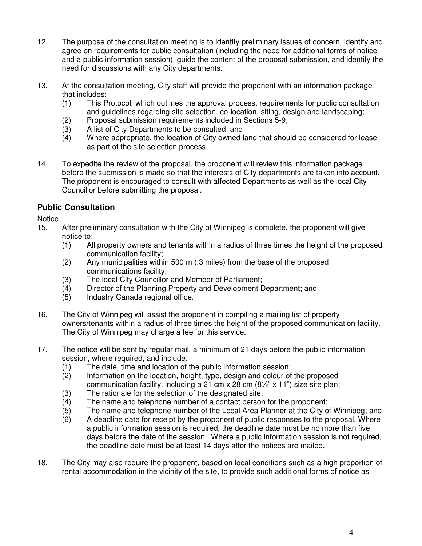- 12. The purpose of the consultation meeting is to identify preliminary issues of concern, identify and agree on requirements for public consultation (including the need for additional forms of notice and a public information session), guide the content of the proposal submission, and identify the need for discussions with any City departments.
- 13. At the consultation meeting, City staff will provide the proponent with an information package that includes:
	- (1) This Protocol, which outlines the approval process, requirements for public consultation and guidelines regarding site selection, co-location, siting, design and landscaping;
	- (2) Proposal submission requirements included in Sections 5-9;
	- (3) A list of City Departments to be consulted; and
	- (4) Where appropriate, the location of City owned land that should be considered for lease as part of the site selection process.
- 14. To expedite the review of the proposal, the proponent will review this information package before the submission is made so that the interests of City departments are taken into account. The proponent is encouraged to consult with affected Departments as well as the local City Councillor before submitting the proposal.

### **Public Consultation**

**Notice** 

- 15. After preliminary consultation with the City of Winnipeg is complete, the proponent will give notice to:
	- (1) All property owners and tenants within a radius of three times the height of the proposed communication facility;
	- (2) Any municipalities within 500 m (.3 miles) from the base of the proposed communications facility;
	- (3) The local City Councillor and Member of Parliament;
	- (4) Director of the Planning Property and Development Department; and
	- (5) Industry Canada regional office.
- 16. The City of Winnipeg will assist the proponent in compiling a mailing list of property owners/tenants within a radius of three times the height of the proposed communication facility. The City of Winnipeg may charge a fee for this service.
- 17. The notice will be sent by regular mail, a minimum of 21 days before the public information session, where required, and include:
	- (1) The date, time and location of the public information session;
	- (2) Information on the location, height, type, design and colour of the proposed communication facility, including a 21 cm x 28 cm (8½" x 11") size site plan;
	- (3) The rationale for the selection of the designated site;
	- (4) The name and telephone number of a contact person for the proponent;
	- (5) The name and telephone number of the Local Area Planner at the City of Winnipeg; and
	- (6) A deadline date for receipt by the proponent of public responses to the proposal. Where a public information session is required, the deadline date must be no more than five days before the date of the session. Where a public information session is not required, the deadline date must be at least 14 days after the notices are mailed.
- 18. The City may also require the proponent, based on local conditions such as a high proportion of rental accommodation in the vicinity of the site, to provide such additional forms of notice as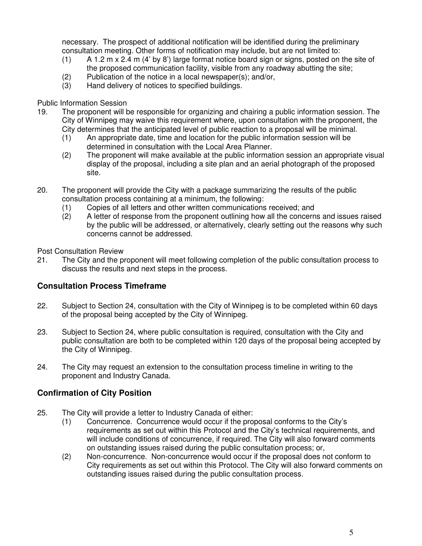necessary. The prospect of additional notification will be identified during the preliminary consultation meeting. Other forms of notification may include, but are not limited to:

- (1) A 1.2 m x 2.4 m (4' by 8') large format notice board sign or signs, posted on the site of the proposed communication facility, visible from any roadway abutting the site;
- (2) Publication of the notice in a local newspaper(s); and/or,
- (3) Hand delivery of notices to specified buildings.

#### Public Information Session

- 19. The proponent will be responsible for organizing and chairing a public information session. The City of Winnipeg may waive this requirement where, upon consultation with the proponent, the City determines that the anticipated level of public reaction to a proposal will be minimal.
	- (1) An appropriate date, time and location for the public information session will be determined in consultation with the Local Area Planner.
	- (2) The proponent will make available at the public information session an appropriate visual display of the proposal, including a site plan and an aerial photograph of the proposed site.
- 20. The proponent will provide the City with a package summarizing the results of the public consultation process containing at a minimum, the following:
	- (1) Copies of all letters and other written communications received; and
	- (2) A letter of response from the proponent outlining how all the concerns and issues raised by the public will be addressed, or alternatively, clearly setting out the reasons why such concerns cannot be addressed.

Post Consultation Review

21. The City and the proponent will meet following completion of the public consultation process to discuss the results and next steps in the process.

## **Consultation Process Timeframe**

- 22. Subject to Section 24, consultation with the City of Winnipeg is to be completed within 60 days of the proposal being accepted by the City of Winnipeg.
- 23. Subject to Section 24, where public consultation is required, consultation with the City and public consultation are both to be completed within 120 days of the proposal being accepted by the City of Winnipeg.
- 24. The City may request an extension to the consultation process timeline in writing to the proponent and Industry Canada.

## **Confirmation of City Position**

- 25. The City will provide a letter to Industry Canada of either:
	- (1) Concurrence. Concurrence would occur if the proposal conforms to the City's requirements as set out within this Protocol and the City's technical requirements, and will include conditions of concurrence, if required. The City will also forward comments on outstanding issues raised during the public consultation process; or,
	- (2) Non-concurrence. Non-concurrence would occur if the proposal does not conform to City requirements as set out within this Protocol. The City will also forward comments on outstanding issues raised during the public consultation process.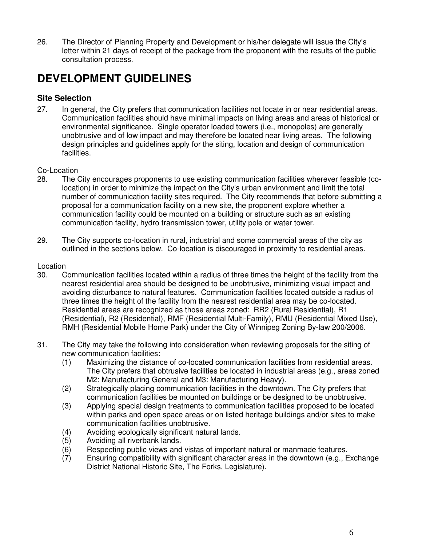26. The Director of Planning Property and Development or his/her delegate will issue the City's letter within 21 days of receipt of the package from the proponent with the results of the public consultation process.

# **DEVELOPMENT GUIDELINES**

### **Site Selection**

27. In general, the City prefers that communication facilities not locate in or near residential areas. Communication facilities should have minimal impacts on living areas and areas of historical or environmental significance. Single operator loaded towers (i.e., monopoles) are generally unobtrusive and of low impact and may therefore be located near living areas. The following design principles and guidelines apply for the siting, location and design of communication facilities.

#### Co-Location

- 28. The City encourages proponents to use existing communication facilities wherever feasible (colocation) in order to minimize the impact on the City's urban environment and limit the total number of communication facility sites required. The City recommends that before submitting a proposal for a communication facility on a new site, the proponent explore whether a communication facility could be mounted on a building or structure such as an existing communication facility, hydro transmission tower, utility pole or water tower.
- 29. The City supports co-location in rural, industrial and some commercial areas of the city as outlined in the sections below. Co-location is discouraged in proximity to residential areas.

#### Location

- 30. Communication facilities located within a radius of three times the height of the facility from the nearest residential area should be designed to be unobtrusive, minimizing visual impact and avoiding disturbance to natural features. Communication facilities located outside a radius of three times the height of the facility from the nearest residential area may be co-located. Residential areas are recognized as those areas zoned: RR2 (Rural Residential), R1 (Residential), R2 (Residential), RMF (Residential Multi-Family), RMU (Residential Mixed Use), RMH (Residential Mobile Home Park) under the City of Winnipeg Zoning By-law 200/2006.
- 31. The City may take the following into consideration when reviewing proposals for the siting of new communication facilities:
	- (1) Maximizing the distance of co-located communication facilities from residential areas. The City prefers that obtrusive facilities be located in industrial areas (e.g., areas zoned M2: Manufacturing General and M3: Manufacturing Heavy).
	- (2) Strategically placing communication facilities in the downtown. The City prefers that communication facilities be mounted on buildings or be designed to be unobtrusive.
	- (3) Applying special design treatments to communication facilities proposed to be located within parks and open space areas or on listed heritage buildings and/or sites to make communication facilities unobtrusive.
	- (4) Avoiding ecologically significant natural lands.
	- Avoiding all riverbank lands.
	- (6) Respecting public views and vistas of important natural or manmade features.
	- (7) Ensuring compatibility with significant character areas in the downtown (e.g., Exchange District National Historic Site, The Forks, Legislature).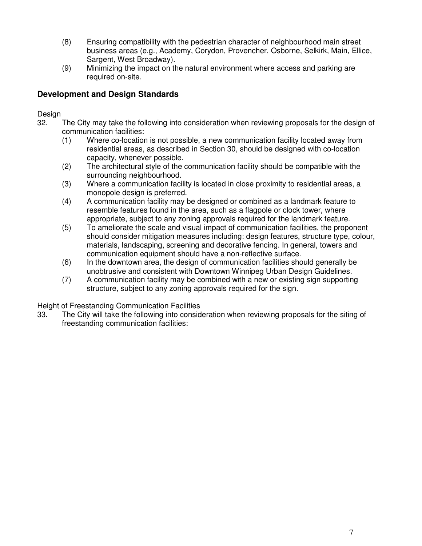- (8) Ensuring compatibility with the pedestrian character of neighbourhood main street business areas (e.g., Academy, Corydon, Provencher, Osborne, Selkirk, Main, Ellice, Sargent, West Broadway).
- (9) Minimizing the impact on the natural environment where access and parking are required on-site.

### **Development and Design Standards**

#### Design

- 32. The City may take the following into consideration when reviewing proposals for the design of communication facilities:
	- (1) Where co-location is not possible, a new communication facility located away from residential areas, as described in Section 30, should be designed with co-location capacity, whenever possible.
	- (2) The architectural style of the communication facility should be compatible with the surrounding neighbourhood.
	- (3) Where a communication facility is located in close proximity to residential areas, a monopole design is preferred.
	- (4) A communication facility may be designed or combined as a landmark feature to resemble features found in the area, such as a flagpole or clock tower, where appropriate, subject to any zoning approvals required for the landmark feature.
	- (5) To ameliorate the scale and visual impact of communication facilities, the proponent should consider mitigation measures including: design features, structure type, colour, materials, landscaping, screening and decorative fencing. In general, towers and communication equipment should have a non-reflective surface.
	- (6) In the downtown area, the design of communication facilities should generally be unobtrusive and consistent with Downtown Winnipeg Urban Design Guidelines.
	- (7) A communication facility may be combined with a new or existing sign supporting structure, subject to any zoning approvals required for the sign.

Height of Freestanding Communication Facilities

33. The City will take the following into consideration when reviewing proposals for the siting of freestanding communication facilities: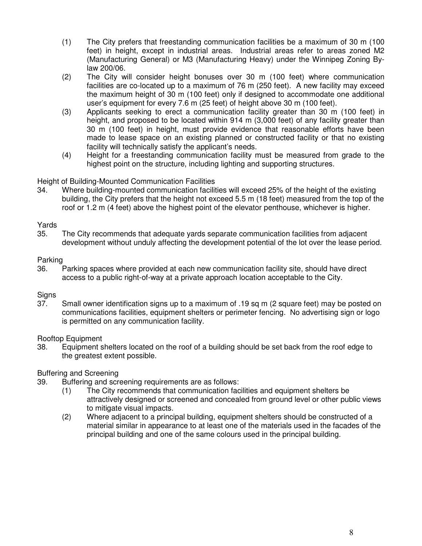- (1) The City prefers that freestanding communication facilities be a maximum of 30 m (100 feet) in height, except in industrial areas. Industrial areas refer to areas zoned M2 (Manufacturing General) or M3 (Manufacturing Heavy) under the Winnipeg Zoning Bylaw 200/06.
- (2) The City will consider height bonuses over 30 m (100 feet) where communication facilities are co-located up to a maximum of 76 m (250 feet). A new facility may exceed the maximum height of 30 m (100 feet) only if designed to accommodate one additional user's equipment for every 7.6 m (25 feet) of height above 30 m (100 feet).
- (3) Applicants seeking to erect a communication facility greater than 30 m (100 feet) in height, and proposed to be located within 914 m (3,000 feet) of any facility greater than 30 m (100 feet) in height, must provide evidence that reasonable efforts have been made to lease space on an existing planned or constructed facility or that no existing facility will technically satisfy the applicant's needs.
- (4) Height for a freestanding communication facility must be measured from grade to the highest point on the structure, including lighting and supporting structures.

#### Height of Building-Mounted Communication Facilities

34. Where building-mounted communication facilities will exceed 25% of the height of the existing building, the City prefers that the height not exceed 5.5 m (18 feet) measured from the top of the roof or 1.2 m (4 feet) above the highest point of the elevator penthouse, whichever is higher.

#### Yards

35. The City recommends that adequate yards separate communication facilities from adjacent development without unduly affecting the development potential of the lot over the lease period.

#### Parking

36. Parking spaces where provided at each new communication facility site, should have direct access to a public right-of-way at a private approach location acceptable to the City.

#### **Signs**

37. Small owner identification signs up to a maximum of .19 sq m (2 square feet) may be posted on communications facilities, equipment shelters or perimeter fencing. No advertising sign or logo is permitted on any communication facility.

#### Rooftop Equipment

38. Equipment shelters located on the roof of a building should be set back from the roof edge to the greatest extent possible.

#### Buffering and Screening

- 39. Buffering and screening requirements are as follows:
	- (1) The City recommends that communication facilities and equipment shelters be attractively designed or screened and concealed from ground level or other public views to mitigate visual impacts.
	- (2) Where adjacent to a principal building, equipment shelters should be constructed of a material similar in appearance to at least one of the materials used in the facades of the principal building and one of the same colours used in the principal building.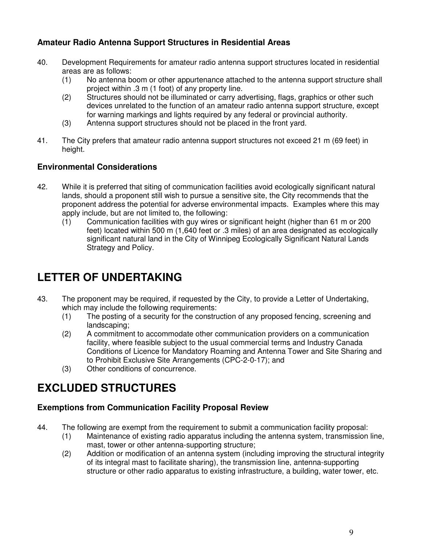### **Amateur Radio Antenna Support Structures in Residential Areas**

- 40. Development Requirements for amateur radio antenna support structures located in residential areas are as follows:
	- (1) No antenna boom or other appurtenance attached to the antenna support structure shall project within .3 m (1 foot) of any property line.
	- (2) Structures should not be illuminated or carry advertising, flags, graphics or other such devices unrelated to the function of an amateur radio antenna support structure, except for warning markings and lights required by any federal or provincial authority.
	- (3) Antenna support structures should not be placed in the front yard.
- 41. The City prefers that amateur radio antenna support structures not exceed 21 m (69 feet) in height.

### **Environmental Considerations**

- 42. While it is preferred that siting of communication facilities avoid ecologically significant natural lands, should a proponent still wish to pursue a sensitive site, the City recommends that the proponent address the potential for adverse environmental impacts. Examples where this may apply include, but are not limited to, the following:
	- (1) Communication facilities with guy wires or significant height (higher than 61 m or 200 feet) located within 500 m (1,640 feet or .3 miles) of an area designated as ecologically significant natural land in the City of Winnipeg Ecologically Significant Natural Lands Strategy and Policy.

# **LETTER OF UNDERTAKING**

- 43. The proponent may be required, if requested by the City, to provide a Letter of Undertaking, which may include the following requirements:
	- (1) The posting of a security for the construction of any proposed fencing, screening and landscaping;
	- (2) A commitment to accommodate other communication providers on a communication facility, where feasible subject to the usual commercial terms and Industry Canada Conditions of Licence for Mandatory Roaming and Antenna Tower and Site Sharing and to Prohibit Exclusive Site Arrangements (CPC-2-0-17); and
	- (3) Other conditions of concurrence.

# **EXCLUDED STRUCTURES**

### **Exemptions from Communication Facility Proposal Review**

- 44. The following are exempt from the requirement to submit a communication facility proposal:
	- (1) Maintenance of existing radio apparatus including the antenna system, transmission line, mast, tower or other antenna-supporting structure;
	- (2) Addition or modification of an antenna system (including improving the structural integrity of its integral mast to facilitate sharing), the transmission line, antenna-supporting structure or other radio apparatus to existing infrastructure, a building, water tower, etc.